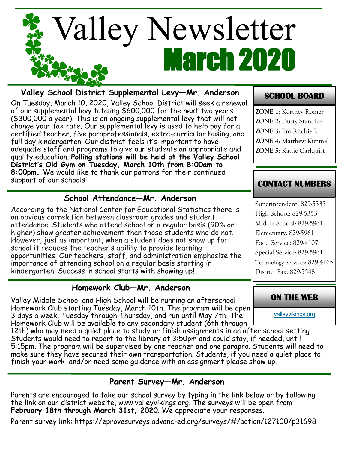

### **Valley School District Supplemental Levy—Mr. Anderson**

On Tuesday, March 10, 2020, Valley School District will seek a renewal of our supplemental levy totaling \$600,000 for the next two years (\$300,000 a year). This is an ongoing supplemental levy that will not change your tax rate. Our supplemental levy is used to help pay for a certified teacher, five paraprofessionals, extra-curricular busing, and full day kindergarten. Our district feels it's important to have adequate staff and programs to give our students an appropriate and quality education. **Polling stations will be held at the Valley School District's Old Gym on Tuesday, March 10th from 8:00am to 8:00pm.** We would like to thank our patrons for their continued support of our schools!

#### **School Attendance—Mr. Anderson**

According to the National Center for Educational Statistics there is an obvious correlation between classroom grades and student attendance. Students who attend school on a regular basis (90% or higher) show greater achievement than those students who do not. However, just as important, when a student does not show up for school it reduces the teacher's ability to provide learning opportunities. Our teachers, staff, and administration emphasize the importance of attending school on a regular basis starting in kindergarten. Success in school starts with showing up!

#### **Homework Club—Mr. Anderson**

Valley Middle School and High School will be running an afterschool Homework Club starting Tuesday, March 10th. The program will be open 3 days a week, Tuesday through Thursday, and run until May 7th. The Homework Club will be available to any secondary student (6th through

12th) who may need a quiet place to study or finish assignments in an after school setting. Students would need to report to the library at 3:50pm and could stay, if needed, until 5:15pm. The program will be supervised by one teacher and one parapro. Students will need to make sure they have secured their own transportation. Students, if you need a quiet place to finish your work and/or need some guidance with an assignment please show up.

#### **Parent Survey—Mr. Anderson**

Parents are encouraged to take our school survey by typing in the link below or by following the link on our district website, www.valleyvikings.org. The surveys will be open from February 18th through March 31st, 2020. We appreciate your responses.

Parent survey link: https://eprovesurveys.advanc-ed.org/surveys/#/action/127100/p31698

### **SCHOOL BOARD**

**ZONE 1**: Kortney Romer **ZONE 2**: Dusty Standlee **ZONE 3**: Jim Ritchie Jr. **ZONE 4**: Matthew Kimmel **ZONE 5**: Kattie Carlquist

#### **CONTACT NUMBERS**

Superintendent: 829-5333 High School: 829-5353 Middle School: 829-5961 Elementary: 829-5961 Food Service: 829-4107 Special Service: 829-5961 Technology Services: 829-4165 District Fax: 829-5548

#### **ON THE WEB**

[valleyvikings.org](http://www.valleyvikings.org/)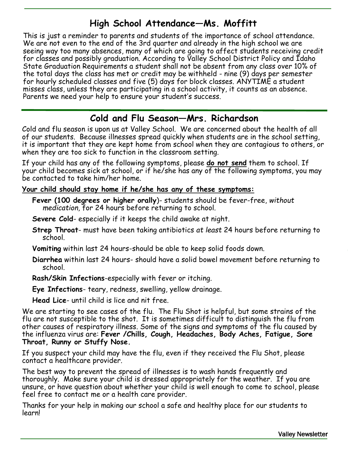## **High School Attendance—Ms. Moffitt**

This is just a reminder to parents and students of the importance of school attendance. We are not even to the end of the 3rd quarter and already in the high school we are seeing way too many absences, many of which are going to affect students receiving credit for classes and possibly graduation. According to Valley School District Policy and Idaho State Graduation Requirements a student shall not be absent from any class over 10% of the total days the class has met or credit may be withheld - nine (9) days per semester for hourly scheduled classes and five (5) days for block classes. ANYTIME a student misses class, unless they are participating in a school activity, it counts as an absence. Parents we need your help to ensure your student's success.

## **Cold and Flu Season—Mrs. Richardson**

Cold and flu season is upon us at Valley School. We are concerned about the health of all of our students. Because illnesses spread quickly when students are in the school setting, it is important that they are kept home from school when they are contagious to others, or when they are too sick to function in the classroom setting.

If your child has any of the following symptoms, please **do not send** them to school. If your child becomes sick at school, or if he/she has any of the following symptoms, you may be contacted to take him/her home.

#### **Your child should stay home if he/she has any of these symptoms:**

**Fever (100 degrees or higher orally**)- students should be fever-free, *without medication,* for 24 hours before returning to school.

**Severe Cold**- especially if it keeps the child awake at night.

**Strep Throat**- must have been taking antibiotics *at least* 24 hours before returning to school.

**Vomiting** within last 24 hours-should be able to keep solid foods down.

**Diarrhea** within last 24 hours- should have a solid bowel movement before returning to school.

**Rash/Skin Infections**-especially with fever or itching.

**Eye Infections**- teary, redness, swelling, yellow drainage.

**Head Lice**- until child is lice and nit free.

We are starting to see cases of the flu. The Flu Shot is helpful, but some strains of the flu are not susceptible to the shot. It is sometimes difficult to distinguish the flu from other causes of respiratory illness. Some of the signs and symptoms of the flu caused by the influenza virus are: **Fever /Chills, Cough, Headaches, Body Aches, Fatigue, Sore Throat, Runny or Stuffy Nose.** 

If you suspect your child may have the flu, even if they received the Flu Shot, please contact a healthcare provider.

The best way to prevent the spread of illnesses is to wash hands frequently and thoroughly. Make sure your child is dressed appropriately for the weather. If you are unsure, or have question about whether your child is well enough to come to school, please feel free to contact me or a health care provider.

Thanks for your help in making our school a safe and healthy place for our students to learn!